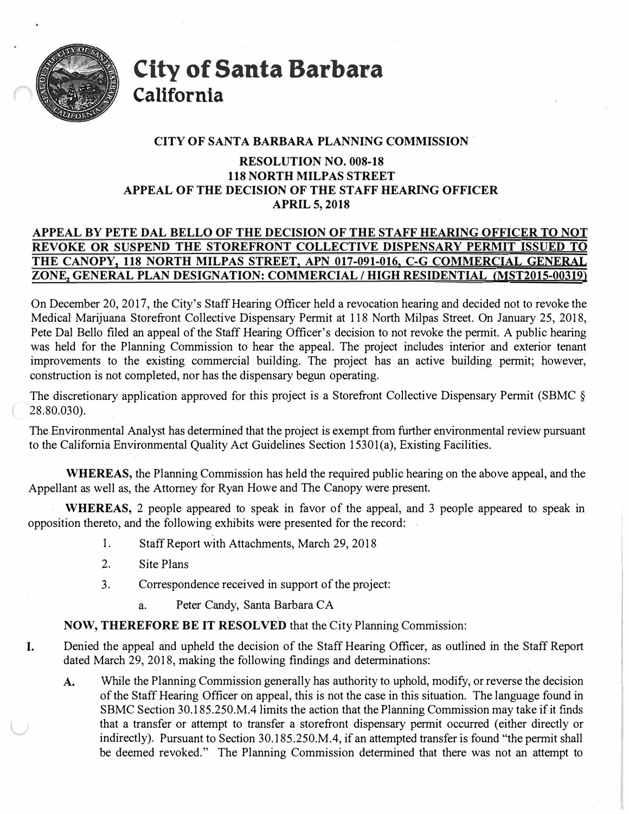

**City of Santa Barbara California** 

## **CITY OF SANTA BARBARA PLANNING COMMISSION**

# **RESOLUTION NO. 008-18 118 NORTH MILPAS STREET APPEAL OF THE DECISION OF THE STAFF HEARING OFFICER APRIL 5, 2018**

# **APPEAL BY PETE DAL BELLO OF THE DECISION OF THE STAFF.HEARING OFFICER TO NOT REVOKE OR SUSPEND THE STOREFRONT COLLECTIVE DISPENSARY PERMIT ISSUED TO THE CANOPY, 118 NORTH MILPAS STREET, APN 017-091-016, C-G COMMERCIAL GENERAL ZONE, GENERAL PLAN DESIGNATION: COMMERCIAL** *I* **HIGH RESIDENTIAL {MST2015-00319)**

On December 20, 2017, the City's Staff Hearing Officer held a revocation hearing and decided not to revoke the Medical Marijuana Storefront Collective Dispensary Permit at 118 North Milpas Street. On January 25, 2018, Pete Dal Bello filed an appeal of the Staff Hearing Officer's decision to not revoke the permit. A public hearing was held for the Planning Commission to hear the appeal. The project includes interior and exterior tenant improvements to the existing commercial building. The project has an active building permit; however, construction is not completed, nor has the dispensary begun operating.

The discretionary application approved for this project is a Storefront Collective Dispensary Permit (SBMC § 28.80.030).

The Environmental Analyst has determined that the project is exempt from further environmental review pursuant to the California Environmental Quality Act Guidelines Section 15301(a), Existing Facilities.

**WHEREAS,** the Planning Commission has held the required public hearing on the above appeal, and the Appellant as well as, the Attorney for Ryan Howe and The Canopy were present.

. **WHEREAS,** 2 people appeared to speak in favor of the appeal, and 3 people appeared to speak in opposition thereto, and the following exhibits were presented for the record:

- 1. Staff Report with Attachments, March 29, 2018
- 2. Site Plans
- 3. Correspondence received in support of the project:
	- a. Peter Candy, Santa Barbara CA

**NOW, THEREFORE BE IT RESOLVED** that the City Planning Commission:

- I. Denied the appeal and upheld the decision of the Staff Hearing Officer, as outlined in the Staff Report dated March 29, 2018, making the following findings and determinations:
	- A. While the Planning Commission generally has authority to uphold, modify, or reverse the decision of the Staff Hearing Officer on appeal, this is not the case in this situation. The language found in SBMC Section 30.185.250.M.4 limits the action that the Planning Commission may take if it finds that a transfer or attempt to transfer a storefront dispensary permit occurred ( either directly or indirectly). Pursuant to Section 30.185.250.M.4, if an attempted transfer is found "the permit shall be deemed revoked." The Planning Commission determined that there was not an attempt to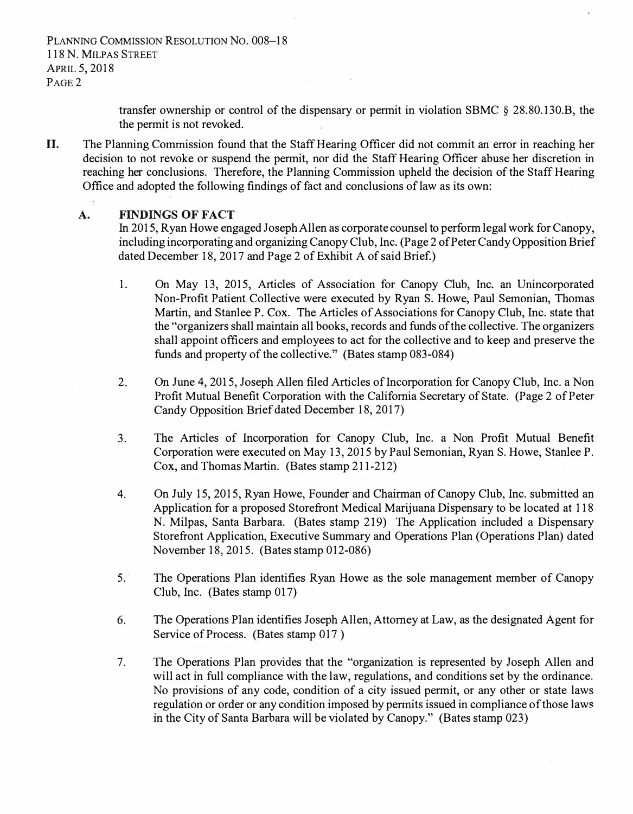PLANNING COMMISSION RESOLUTION NO. 008-18 118 N. MILPAS STREET APRIL 5, 2018 PAGE 2

> transfer ownership or control of the dispensary or permit in violation SBMC § 28.80.130.B, the the permit is not revoked.

II. The Planning Commission found that the Staff Hearing Officer did not commit an error in reaching her decision to not revoke or suspend the permit, nor did the Staff Hearing Officer abuse her discretion in reaching her conclusions. Therefore, the Planning Commission upheld the decision of the Staff Hearing Office and adopted the following findings of fact and conclusions of law as its own:

### **A. FINDINGS OF FACT**

In 2015, Ryan Howe engaged Joseph Allen as corporate counsel to perform legal work for Canopy, including incorporating and organizing Canopy Club, Inc. (Page 2 of Peter Candy Opposition Brief dated December 18, 2017 and Page 2 of Exhibit A of said Brief.)

- 1. On May 13, 2015, Articles of Association for Canopy Club, Inc. an Unincorporated Non-Profit Patient Collective were executed by Ryan S. Howe, Paul Semonian, Thomas Martin, and Stanlee P. Cox. The Articles of Associations for Canopy Club, Inc. state that the "organizers shall maintain all books, records and funds of the collective. The organizers shall appoint officers and employees to act for the collective and to keep and preserve the funds and property of the collective." (Bates stamp 083-084)
- 2. On June 4, 2015, Joseph Allen filed Articles of Incorporation for Canopy Club, Inc. a Non Profit Mutual Benefit Corporation with the California Secretary of State. (Page 2 of Peter Candy Opposition Brief dated December 18, 2017)
- 3. The Articles of Incorporation for Canopy Club, Inc. a Non Profit Mutual Benefit Corporation were executed on May 13, 2015 by Paul Semonian, Ryan S. Howe, Stanlee P. Cox, and Thomas Martin. (Bates stamp 211-212)
- 4. On July 15, 2015, Ryan Howe, Founder and Chairman of Canopy Club, Inc. submitted an Application for a proposed Storefront Medical Marijuana Dispensary to be located at 118 N. Milpas, Santa Barbara. (Bates stamp 219) The Application included a Dispensary Storefront Application, Executive Summary and Operations Plan (Operations Plan) dated November 18, 2015. (Bates stamp 012-086)
- 5. · The Operations Plan identifies Ryan Howe as the sole management member of Canopy Club, Inc. (Bates stamp 017)
- 6. The Operations Plan identifies Joseph Allen, Attorney at Law, as the designated Agent for Service of Process. (Bates stamp 017 )
- 7. The Operations Plan provides that the "organization is represented by Joseph Allen and will act in full compliance with the law, regulations, and conditions set by the ordinance. No provisions of any code, condition of a city issued permit, or any other or state laws regulation or order or any condition imposed by permits issued in compliance of those laws in the City of Santa Barbara will be violated by Canopy." (Bates stamp 023)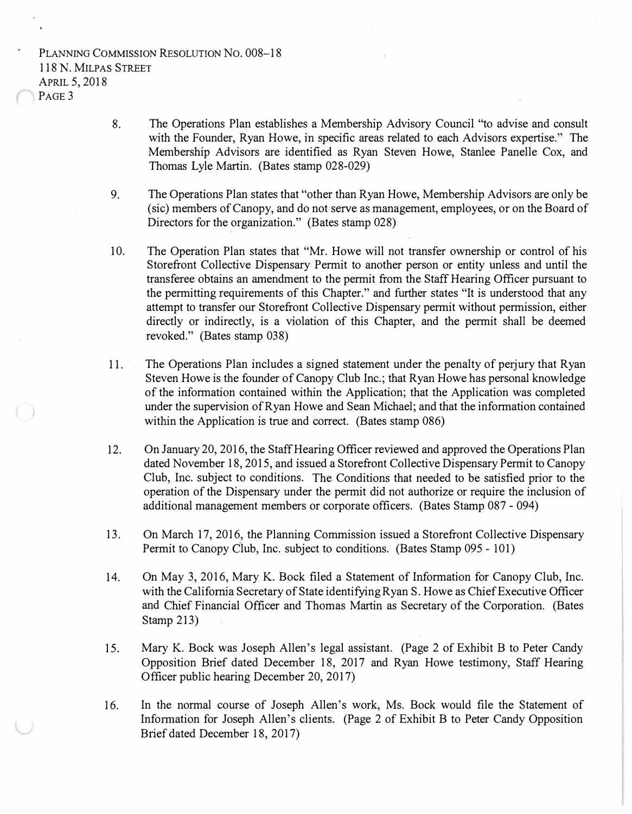PLANNING COMMISSION RESOLUTION NO. 008-18 118 N. MILPAS STREET APRIL 5, 2018 P<sub>AGE</sub> 3

- 8. The Operations Plan establishes a Membership Advisory Council "to advise and consult with the Founder, Ryan Howe, in specific areas related to each Advisors expertise." The Membership Advisors are identified as Ryan Steven Howe, Stanlee Panelle Cox, and Thomas Lyle Martin. (Bates stamp 028-029)
- 9. The Operations Plan states that "other than Ryan Howe, Membership Advisors are only be (sic) members of Canopy, and do not serve as management, employees, or on the Board of Directors for the organization." (Bates stamp 028) and the state of the state of the state of the state of the state of the state of the state of the state of the
- 10. The Operation Plan states that "Mr. Howe will not transfer ownership or control of his Storefront Collective Dispensary Permit to another person or entity unless and until the transferee obtains an amendment to the permit from the Staff Hearing Officer pursuant to the permitting requirements of this Chapter." and further states "It is understood that any attempt to transfer our Storefront Collective Dispensary permit without permission, either directly or indirectly, is a violation of this Chapter, and the permit shall be deemed revoked." (Bates stamp 038)
- 11. The Operations Plan includes a signed statement under the penalty of perjury that Ryan Steven Howe is the founder of Canopy Club Inc.; that Ryan Howe has personal knowledge of the information contained within the Application; that the Application was completed under the supervision of Ryan Howe and Sean Michael; and that the information contained within the Application is true and correct. (Bates stamp 086)
- 12. On January 20, 2016, the Staff Hearing Officer reviewed and approved the Operations Plan dated November 18, 2015, and issued a Storefront Collective Dispensary Permit to Canopy Club, Inc. subject to conditions. The Conditions that needed to be satisfied prior to the operation of the Dispensary under the permit did not authorize or require the inclusion of additional management members or corporate officers. (Bates Stamp 087 - 094)
- 13. On March 17, 2016, the Planning Commission issued a Storefront Collective Dispensary Permit to Canopy Club, Inc. subject to conditions. (Bates Stamp 095 - 101)
- 14. On May 3, 2016, Mary K. Bock filed a Statement of Information for Canopy Club, Inc. with the California Secretary of State identifying Ryan S. Howe as Chief Executive Officer and Chief Financial Officer and Thomas Martin as Secretary of the Corporation. (Bates Stamp 213)
- 15. Mary K. Bock was Joseph Allen's legal assistant. (Page 2 of Exhibit B to Peter Candy Opposition Brief dated December 18, 2017 and Ryan Howe testimony, Staff Hearing Officer public hearing December 20, 2017)
- 16. In the normal course of Joseph Allen's work, Ms. Bock would file the Statement of Information for Joseph Allen's clients. (Page 2 of Exhibit B to Peter Candy Opposition Brief dated December 18, 2017)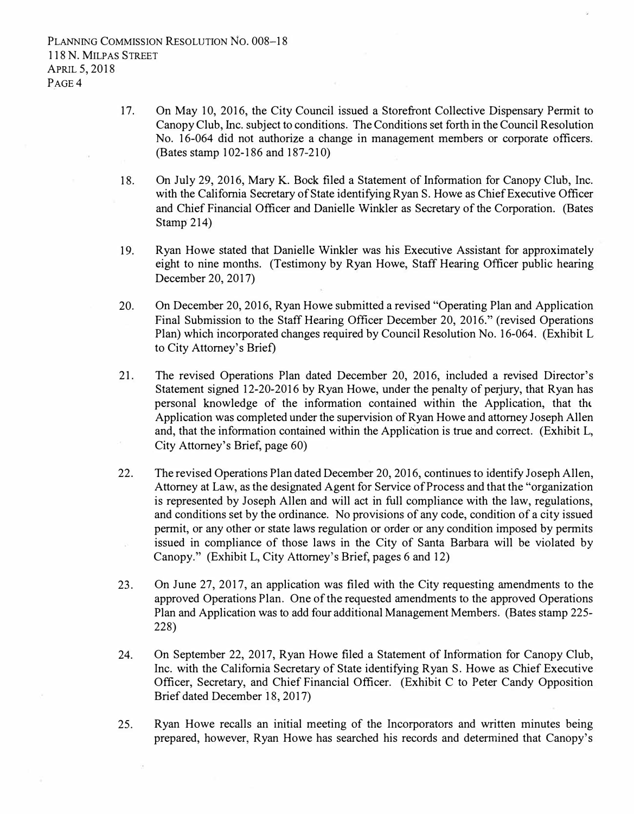- 17. On May 10, 2016, the City Council issued a Storefront Collective Dispensary Permit to Canopy Club, Inc. subject to conditions. The Conditions set forth in the Council Resolution No. 16-064 did not authorize a change in management members or corporate officers. (Bates stamp 102-186 and 187-210)
- 18. On July 29, 2016, Mary K. Bock filed a Statement of Information for Canopy Club, Inc. with the California Secretary of State identifying Ryan S. Howe as Chief Executive Officer and Chief Financial Officer and Danielle Winkler as Secretary of the Corporation. (Bates Stamp  $214$ )
- 19. Ryan Howe stated that Danielle Winkler was his Executive Assistant for approximately eight to nine months. (Testimony by Ryan Howe, Staff Hearing Officer public hearing December 20, 2017)
- 20. On December 20, 2016, Ryan Howe submitted a revised "Operating Plan and Application Final Submission to the Staff Hearing Officer December 20, 2016." (revised Operations Plan) which incorporated changes required by Council Resolution No. 16-064. (Exhibit L to City Attorney's Brief)
- 21. The revised Operations Plan dated December 20, 2016, included a revised Director's Statement signed 12-20-2016 by Ryan Howe, under the penalty of perjury, that Ryan has personal knowledge of the information contained within the Application, that the Application was completed under the supervision of Ryan Howe and attorney Joseph Allen and, that the information contained within the Application is true and correct. (Exhibit L, City Attorney's Brief, page 60)
- 22. The revised Operations Plan dated December 20, 2016, continues to identify Joseph Allen, Attorney at Law, as the designated Agent for Service of Process and that the "organization is represented by Joseph Allen and will act in full compliance with the law, regulations, and conditions set by the ordinance. No provisions of any code, condition of a city issued permit, or any other or state laws regulation or order or any condition imposed by permits issued in compliance of those laws in the City of Santa Barbara will be violated by  $\mathcal{C}$ Canopy." (Exhibit L, City Attorney's Brief, pages 6 and 12)
- 23. On June 27, 2017, an application was filed with the City requesting amendments to the approved Operations Plan. One of the requested amendments to the approved Operations Plan and Application was to add four additional Management Members. (Bates stamp 225- 228)
- 24. On September 22, 2017, Ryan Howe filed a Statement of Information for Canopy Club, Inc. with the California Secretary of State identifying Ryan S. Howe as Chief Executive Officer, Secretary, and Chief Financial Officer. (Exhibit C to Peter Candy Opposition Brief dated December 18, 2017)
- 25. Ryan Howe recalls an initial meeting of the Incorporators and written minutes being prepared, however, Ryan Howe has searched his records and determined that Canopy's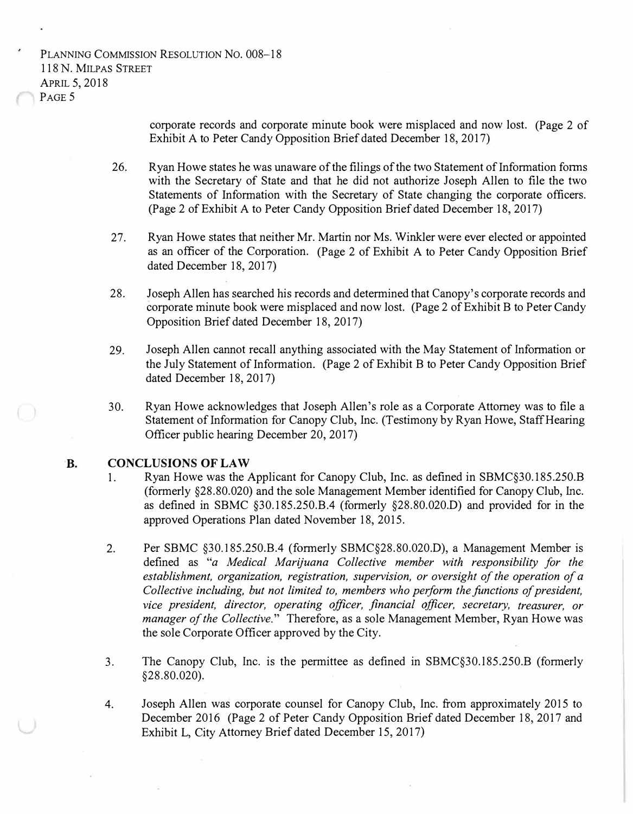PLANNING COMMISSION RESOLUTION NO. 008-18 118 N. MILPAS STREET APRIL 5, 2018 PAGE<sub>5</sub>

> corporate records and corporate minute book were misplaced and now lost. (Page 2 of Exhibit A to Peter Candy Opposition Brief dated December 18, 2017)

- 26. Ryan Howe states he was unaware of the filings of the two Statement of Information forms with the Secretary of State and that he did not authorize Joseph Allen to file the two Statements of Information with the Secretary of State changing the corporate officers. (Page 2 of Exhibit A to Peter Candy Opposition Brief dated December 18, 2017)
- 27. Ryan Howe states that neither Mr. Martin nor Ms. Winkler were ever elected or appointed as an officer of the Corporation. (Page 2 of Exhibit A to Peter Candy Opposition Brief dated December 18, 2017)
- 28. Joseph Allen has searched his records and determined that Canopy's corporate records and corporate minute book were misplaced and now lost. (Page 2 of Exhibit B to Peter Candy Opposition Brief dated December 18, 2017)
- 29. Joseph Allen cannot recall anything associated with the May Statement of Information or the July Statement of Information. (Page 2 of Exhibit B to Peter Candy Opposition Brief dated December 18, 2017)
- 30. Ryan Howe acknowledges that Joseph Allen's role as a Corporate Attorney was to file a Statement of Information for Canopy Club, Inc. (Testimony by Ryan Howe, Staff Hearing Officer public hearing December 20, 2017)

### **B. CONCLUSIONS OF LAW**

- 1. Ryan Howe was the Applicant for Canopy Club, Inc. as defined in SBMC§30.185.250.B (formerly §28.80.020) and the sole Management Member identified for Canopy Club, Inc. as defined in SBMC §30.185.250.B.4 (formerly §28.80.020.D) and provided for in the approved Operations Plan dated November 18, 2015.
- 2. Per SBMC §30.185.250.B.4 (formerly SBMC§28.80.020.D), a Management Member is defined as *"a Medical Marijuana Collective member with responsibility for the establishment, organization, registration, supervision, or oversight of the operation of a Collective including, but not limited to, members who perform the functions of president, vice president, director, operating officer, financial officer, secretary, treasurer, or manager of the Collective."* Therefore, as a sole Management Member, Ryan Howe was the sole Corporate Officer approved by the City.
- 3. The Canopy Club, Inc. is the permittee as defined in SBMC§30.185.250.B (formerly §28.80.020).
- 4. Joseph Allen was corporate counsel for Canopy Club, Inc. from approximately 2015 to December 2016 (Page 2 of Peter Candy Opposition Brief dated December 18, 2017 and Exhibit L, City Attorney Brief dated December 15, 2017)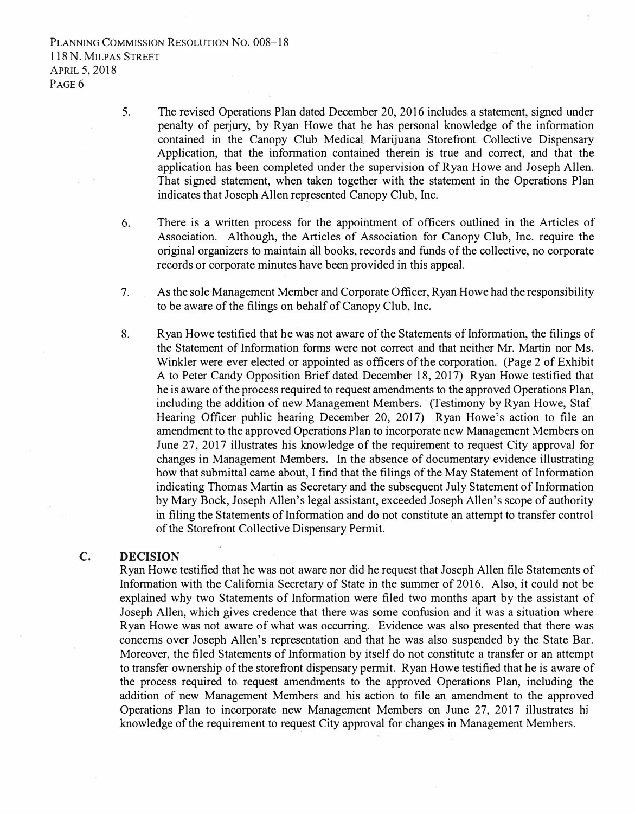PLANNING COMMISSION RESOLUTION NO. 008-18 118 N. MILPAS STREET APRIL 5, 2018 P<sub>AGE</sub><sub>6</sub>

- 5. The revised Operations Plan dated December 20, 2016 includes a statement, signed under penalty of perjury, by Ryan Howe that he has personal knowledge of the information contained in the Canopy Club Medical Marijuana Storefront Collective Dispensary Application, that the information contained therein is true and correct, and that the application has been completed under the supervision of Ryan Howe and Joseph Allen. That signed statement, when taken together with the statement in the Operations Plan indicates that Joseph Allen represented Canopy Club, Inc.
- 6. There is a written process for the appointment of officers outlined in the Articles of Association. Although, the Articles of Association for Canopy Club, Inc. require the original organizers to maintain all books, records and funds of the collective, no corporate records or corporate minutes have been provided in this appeal.
- 7. As the sole Management Member and Corporate Officer, Ryan Howe had the responsibility to be aware of the filings on behalf of Canopy Club, Inc.
- 8. Ryan Howe testified that he was not aware of the Statements of Information, the filings of the Statement of Information forms were not correct and that neither Mr. Martin nor Ms. Winkler were ever elected or appointed as officers of the corporation. (Page 2 of Exhibit A to Peter Candy Opposition Brief dated December 18, 2017) Ryan Howe testified that he is aware of the process required to request amendments to the approved Operations Plan, including the addition of new Management Members. (Testimony by Ryan Howe, Staf Hearing Officer public hearing December 20, 2017) Ryan Howe's action to file an amendment to the approved Operations Plan to incorporate new Management Members on June 27, 2017 illustrates his knowledge of the requirement to request City approval for changes in Management Members. In the absence of documentary evidence illustrating how that submittal came about, I find that the filings of the May Statement of Information indicating Thomas Martin as Secretary and the subsequent July Statement of Information by Mary Bock, Joseph Allen's legal assistant, exceeded Joseph Allen's scope of authority in filing the Statements of Information and do not constitute an attempt to transfer control of the Storefront Collective Dispensary Pe<sup>r</sup>mit.

#### **C. DECISION**

Ryan Howe testified that he was not aware nor did he request that Joseph Allen file Statements of Information with the California Secretary of State in the summer of 2016. Also, it could not be explained why two Statements of Information were filed two months apart by the assistant of Joseph Allen, which gives credence that there was some confusion and it was a situation where Ryan Howe was not aware of what was occurring. Evidence was also presented that there was concerns over Joseph Allen's representation and that he was also suspended by the State Bar. Moreover, the filed Statements of Information by itself do not constitute a transfer or an attempt to transfer ownership of the storefront dispensary permit. Ryan Howe testified that he is aware of the process required to request amendments to the approved Operations Plan, including the addition of new Management Members and his action to file an amendment to the approved Operations Plan to incorporate new Management Members on June 27, 2017 illustrates hi knowledge of the requirement to request City approval for changes in Management Members.